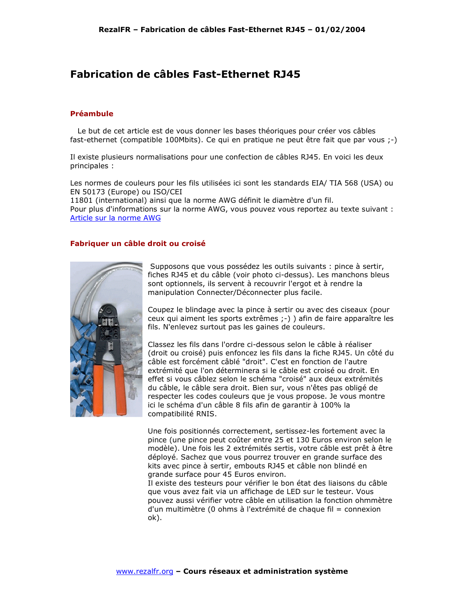## Fabrication de câbles Fast-Ethernet RJ45

## **Préambule**

Le but de cet article est de vous donner les bases théoriques pour créer vos câbles fast-ethernet (compatible 100Mbits). Ce qui en pratique ne peut être fait que par vous ;-)

Il existe plusieurs normalisations pour une confection de câbles RJ45. En voici les deux principales :

Les normes de couleurs pour les fils utilisées ici sont les standards EIA/ TIA 568 (USA) ou EN 50173 (Europe) ou ISO/CEI

11801 (international) ainsi que la norme AWG définit le diamètre d'un fil. Pour plus d'informations sur la norme AWG, vous pouvez vous reportez au texte suivant : Article sur la norme AWG

## Fabriquer un câble droit ou croisé



Supposons que vous possédez les outils suivants : pince à sertir, fiches RJ45 et du câble (voir photo ci-dessus). Les manchons bleus sont optionnels, ils servent à recouvrir l'ergot et à rendre la manipulation Connecter/Déconnecter plus facile.

Coupez le blindage avec la pince à sertir ou avec des ciseaux (pour ceux qui aiment les sports extrêmes :-) ) afin de faire apparaître les fils. N'enlevez surtout pas les gaines de couleurs.

Classez les fils dans l'ordre ci-dessous selon le câble à réaliser (droit ou croisé) puis enfoncez les fils dans la fiche RJ45. Un côté du câble est forcément câblé "droit". C'est en fonction de l'autre extrémité que l'on déterminera si le câble est croisé ou droit. En effet si vous câblez selon le schéma "croisé" aux deux extrémités du câble, le câble sera droit. Bien sur, vous n'êtes pas obligé de respecter les codes couleurs que je vous propose. Je vous montre ici le schéma d'un câble 8 fils afin de garantir à 100% la compatibilité RNIS.

Une fois positionnés correctement, sertissez-les fortement avec la pince (une pince peut coûter entre 25 et 130 Euros environ selon le modèle). Une fois les 2 extrémités sertis, votre câble est prêt à être déployé. Sachez que vous pourrez trouver en grande surface des kits avec pince à sertir, embouts RJ45 et câble non blindé en grande surface pour 45 Euros environ.

Il existe des testeurs pour vérifier le bon état des liaisons du câble que vous avez fait via un affichage de LED sur le testeur. Vous pouvez aussi vérifier votre câble en utilisation la fonction ohmmètre d'un multimètre (0 ohms à l'extrémité de chaque fil = connexion  $ok$ ).